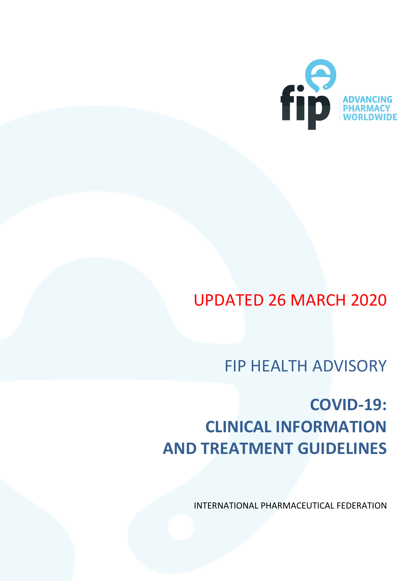

# UPDATED 26 MARCH 2020

FIP HEALTH ADVISORY

# **COVID-19: CLINICAL INFORMATION AND TREATMENT GUIDELINES**

INTERNATIONAL PHARMACEUTICAL FEDERATION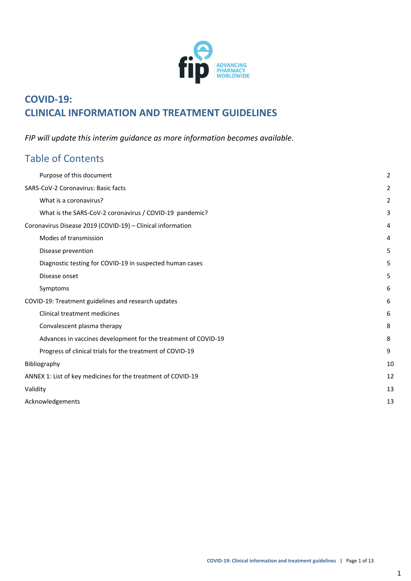

## **COVID-19: CLINICAL INFORMATION AND TREATMENT GUIDELINES**

*FIP will update this interim guidance as more information becomes available.*

## Table of Contents

|                                                            | Purpose of this document                                       | 2 |  |  |
|------------------------------------------------------------|----------------------------------------------------------------|---|--|--|
|                                                            | SARS-CoV-2 Coronavirus: Basic facts                            |   |  |  |
|                                                            | What is a coronavirus?                                         | 2 |  |  |
|                                                            | What is the SARS-CoV-2 coronavirus / COVID-19 pandemic?        | 3 |  |  |
| Coronavirus Disease 2019 (COVID-19) - Clinical information |                                                                |   |  |  |
|                                                            | Modes of transmission                                          | 4 |  |  |
|                                                            | Disease prevention                                             | 5 |  |  |
|                                                            | Diagnostic testing for COVID-19 in suspected human cases       | 5 |  |  |
|                                                            | Disease onset                                                  | 5 |  |  |
|                                                            | Symptoms                                                       | 6 |  |  |
| COVID-19: Treatment guidelines and research updates        |                                                                | 6 |  |  |
|                                                            | Clinical treatment medicines                                   | 6 |  |  |
|                                                            | Convalescent plasma therapy                                    | 8 |  |  |
|                                                            | Advances in vaccines development for the treatment of COVID-19 | 8 |  |  |
|                                                            | Progress of clinical trials for the treatment of COVID-19      | 9 |  |  |
|                                                            | Bibliography                                                   |   |  |  |
|                                                            | ANNEX 1: List of key medicines for the treatment of COVID-19   |   |  |  |
|                                                            | Validity                                                       |   |  |  |
|                                                            | Acknowledgements                                               |   |  |  |
|                                                            |                                                                |   |  |  |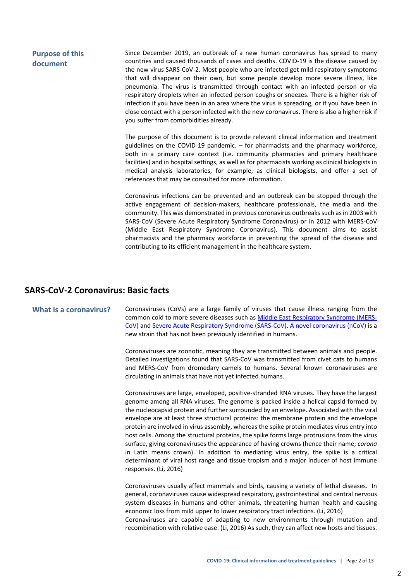#### <span id="page-2-0"></span>**Purpose of this document** Since December 2019, an outbreak of a new human coronavirus has spread to many countries and caused thousands of cases and deaths. COVID-19 is the disease caused by the new virus SARS-CoV-2. Most people who are infected get mild respiratory symptoms that will disappear on their own, but some people develop more severe illness, like pneumonia. The virus is transmitted through contact with an infected person or via respiratory droplets when an infected person coughs or sneezes. There is a higher risk of infection if you have been in an area where the virus is spreading, or if you have been in close contact with a person infected with the new coronavirus. There is also a higher risk if you suffer from comorbidities already.

The purpose of this document is to provide relevant clinical information and treatment guidelines on the COVID-19 pandemic. – for pharmacists and the pharmacy workforce, both in a primary care context (i.e. community pharmacies and primary healthcare facilities) and in hospital settings, as well as for pharmacists working as clinical biologists in medical analysis laboratories, for example, as clinical biologists, and offer a set of references that may be consulted for more information.

Coronavirus infections can be prevented and an outbreak can be stopped through the active engagement of decision-makers, healthcare professionals, the media and the community. This was demonstrated in previous coronavirus outbreaks such as in 2003 with SARS-CoV (Severe Acute Respiratory Syndrome Coronavirus) or in 2012 with MERS-CoV (Middle East Respiratory Syndrome Coronavirus). This document aims to assist pharmacists and the pharmacy workforce in preventing the spread of the disease and contributing to its efficient management in the healthcare system.

#### <span id="page-2-1"></span>**SARS-CoV-2 Coronavirus: Basic facts**

<span id="page-2-2"></span>**What is a coronavirus?** Coronaviruses (CoVs) are a large family of viruses that cause illness ranging from the common cold to more severe diseases such as Middle East [Respiratory](https://www.who.int/emergencies/mers-cov/en/) Syndrome (MERS-[CoV\)](https://www.who.int/emergencies/mers-cov/en/) and Severe Acute Respiratory Syndrome [\(SARS-CoV\).](https://www.who.int/csr/sars/en/) A novel [coronavirus](https://www.who.int/emergencies/diseases/novel-coronavirus-2019) (nCoV) is a new strain that has not been previously identified in humans.

> Coronaviruses are zoonotic, meaning they are transmitted between animals and people. Detailed investigations found that SARS-CoV was transmitted from civet cats to humans and MERS-CoV from dromedary camels to humans. Several known coronaviruses are circulating in animals that have not yet infected humans.

> Coronaviruses are large, enveloped, positive-stranded RNA viruses. They have the largest genome among all RNA viruses. The genome is packed inside a helical capsid formed by the nucleocapsid protein and further surrounded by an envelope. Associated with the viral envelope are at least three structural proteins: the membrane protein and the envelope protein are involved in virus assembly, whereas the spike protein mediates virus entry into host cells. Among the structural proteins, the spike forms large protrusions from the virus surface, giving coronaviruses the appearance of having crowns (hence their name; *corona* in Latin means crown). In addition to mediating virus entry, the spike is a critical determinant of viral host range and tissue tropism and a major inducer of host immune responses. (Li, 2016)

> Coronaviruses usually affect mammals and birds, causing a variety of lethal diseases. In general, coronaviruses cause widespread respiratory, gastrointestinal and central nervous system diseases in humans and other animals, threatening human health and causing economic loss from mild upper to lower respiratory tract infections. (Li, 2016) Coronaviruses are capable of adapting to new environments through mutation and recombination with relative ease. (Li, 2016) As such, they can affect new hosts and tissues.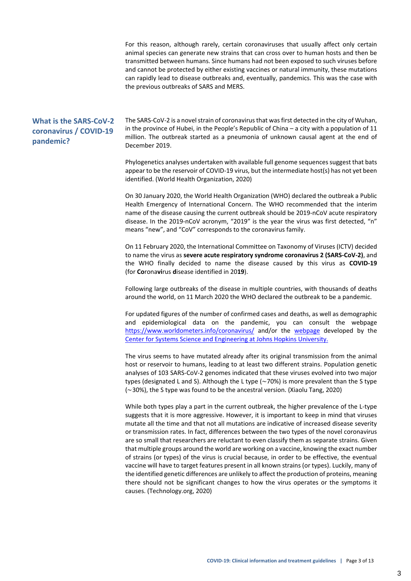For this reason, although rarely, certain coronaviruses that usually affect only certain animal species can generate new strains that can cross over to human hosts and then be transmitted between humans. Since humans had not been exposed to such viruses before and cannot be protected by either existing vaccines or natural immunity, these mutations can rapidly lead to disease outbreaks and, eventually, pandemics. This was the case with the previous outbreaks of SARS and MERS.

#### <span id="page-3-0"></span>**What is the SARS-CoV-2 coronavirus / COVID-19 pandemic?**

The SARS-CoV-2 is a novel strain of coronavirus that was first detected in the city of Wuhan, in the province of Hubei, in the People's Republic of China – a city with a population of 11 million. The outbreak started as a pneumonia of unknown causal agent at the end of December 2019.

Phylogenetics analyses undertaken with available full genome sequences suggest that bats appear to be the reservoir of COVID-19 virus, but the intermediate host(s) has not yet been identified. (World Health Organization, 2020)

On 30 January 2020, the World Health Organization (WHO) declared the outbreak a Public Health Emergency of International Concern. The WHO recommended that the interim name of the disease causing the current outbreak should be 2019-nCoV acute respiratory disease. In the 2019-nCoV acronym, "2019" is the year the virus was first detected, "n" means "new", and "CoV" corresponds to the coronavirus family.

On 11 February 2020, the International Committee on Taxonomy of Viruses (ICTV) decided to name the virus as **severe acute respiratory syndrome coronavirus 2 (SARS-CoV-2)**, and the WHO finally decided to name the disease caused by this virus as **COVID-19** (for **Co**rona**vi**rus **d**isease identified in 20**19**).

Following large outbreaks of the disease in multiple countries, with thousands of deaths around the world, on 11 March 2020 the WHO declared the outbreak to be a pandemic.

For updated figures of the number of confirmed cases and deaths, as well as demographic and epidemiological data on the pandemic, you can consult the webpage <https://www.worldometers.info/coronavirus/> and/or the [webpage](https://gisanddata.maps.arcgis.com/apps/opsdashboard/index.html#/bda7594740fd40299423467b48e9ecf6) developed by the [Center for Systems Science and Engineering at Johns Hopkins University.](https://gisanddata.maps.arcgis.com/apps/opsdashboard/index.html#/bda7594740fd40299423467b48e9ecf6)

The virus seems to have mutated already after its original transmission from the animal host or reservoir to humans, leading to at least two different strains. Population genetic analyses of 103 SARS-CoV-2 genomes indicated that these viruses evolved into two major types (designated L and S). Although the L type (∼70%) is more prevalent than the S type (∼30%), the S type was found to be the ancestral version. (Xiaolu Tang, 2020)

While both types play a part in the current outbreak, the higher prevalence of the L-type suggests that it is more aggressive. However, it is important to keep in mind that viruses mutate all the time and that not all mutations are indicative of increased disease severity or transmission rates. In fact, differences between the two types of the novel coronavirus are so small that researchers are reluctant to even classify them as separate strains. Given that multiple groups around the world are working on a vaccine, knowing the exact number of strains (or types) of the virus is crucial because, in order to be effective, the eventual vaccine will have to target features present in all known strains (or types). Luckily, many of the identified genetic differences are unlikely to affect the production of proteins, meaning there should not be significant changes to how the virus operates or the symptoms it causes. (Technology.org, 2020)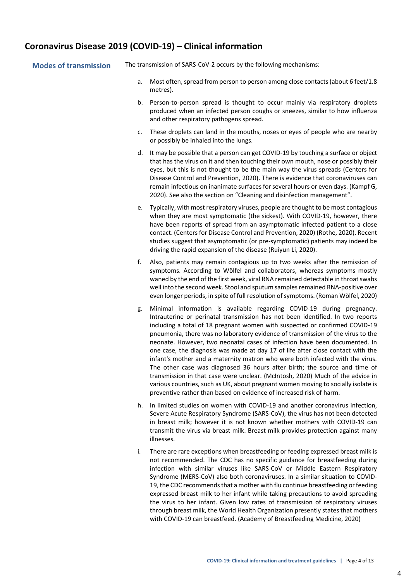#### <span id="page-4-0"></span>**Coronavirus Disease 2019 (COVID-19) – Clinical information**

<span id="page-4-1"></span>

|  | <b>Modes of transmission</b> |  |
|--|------------------------------|--|
|  |                              |  |

The transmission of SARS-CoV-2 occurs by the following mechanisms:

- a. Most often, spread from person to person among close contacts(about 6 feet/1.8 metres).
- b. Person-to-person spread is thought to occur mainly via respiratory droplets produced when an infected person coughs or sneezes, similar to how influenza and other respiratory pathogens spread.
- c. These droplets can land in the mouths, noses or eyes of people who are nearby or possibly be inhaled into the lungs.
- d. It may be possible that a person can get COVID-19 by touching a surface or object that has the virus on it and then touching their own mouth, nose or possibly their eyes, but this is not thought to be the main way the virus spreads (Centers for Disease Control and Prevention, 2020). There is evidence that coronaviruses can remain infectious on inanimate surfaces for several hours or even days. (Kampf G, 2020). See also the section on "Cleaning and disinfection management".
- e. Typically, with most respiratory viruses, people are thought to be most contagious when they are most symptomatic (the sickest). With COVID-19, however, there have been reports of spread from an asymptomatic infected patient to a close contact. (Centers for Disease Control and Prevention, 2020) (Rothe, 2020). Recent studies suggest that asymptomatic (or pre-symptomatic) patients may indeed be driving the rapid expansion of the disease (Ruiyun Li, 2020).
- f. Also, patients may remain contagious up to two weeks after the remission of symptoms. According to Wölfel and collaborators, whereas symptoms mostly waned by the end of the first week, viral RNA remained detectable in throat swabs well into the second week. Stool and sputum samples remained RNA-positive over even longer periods, in spite of full resolution of symptoms. (Roman Wölfel, 2020)
- g. Minimal information is available regarding COVID-19 during pregnancy. Intrauterine or perinatal transmission has not been identified. In two reports including a total of 18 pregnant women with suspected or confirmed COVID-19 pneumonia, there was no laboratory evidence of transmission of the virus to the neonate. However, two neonatal cases of infection have been documented. In one case, the diagnosis was made at day 17 of life after close contact with the infant's mother and a maternity matron who were both infected with the virus. The other case was diagnosed 36 hours after birth; the source and time of transmission in that case were unclear. (McIntosh, 2020) Much of the advice in various countries, such as UK, about pregnant women moving to socially isolate is preventive rather than based on evidence of increased risk of harm.
- h. In limited studies on women with COVID-19 and another coronavirus infection, Severe Acute Respiratory Syndrome (SARS-CoV), the virus has not been detected in breast milk; however it is not known whether mothers with COVID-19 can transmit the virus via breast milk. Breast milk provides protection against many illnesses.
- i. There are rare exceptions when breastfeeding or feeding expressed breast milk is not recommended. The CDC has no specific guidance for breastfeeding during infection with similar viruses like SARS-CoV or Middle Eastern Respiratory Syndrome (MERS-CoV) also both coronaviruses. In a similar situation to COVID-19, the CDC recommends that a mother with flu continue breastfeeding or feeding expressed breast milk to her infant while taking precautions to avoid spreading the virus to her infant. Given low rates of transmission of respiratory viruses through breast milk, the World Health Organization presently states that mothers with COVID-19 can breastfeed. (Academy of Breastfeeding Medicine, 2020)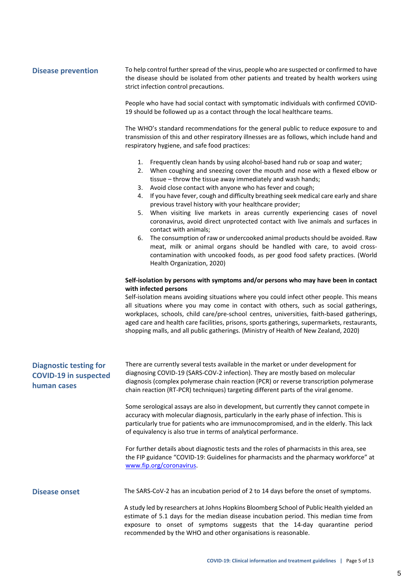#### <span id="page-5-0"></span>**Disease prevention** To help control further spread of the virus, people who are suspected or confirmed to have the disease should be isolated from other patients and treated by health workers using strict infection control precautions.

People who have had social contact with symptomatic individuals with confirmed COVID-19 should be followed up as a contact through the local healthcare teams.

The WHO's standard recommendations for the general public to reduce exposure to and transmission of this and other respiratory illnesses are as follows, which include hand and respiratory hygiene, and safe food practices:

- 1. Frequently clean hands by using alcohol-based hand rub or soap and water;
- 2. When coughing and sneezing cover the mouth and nose with a flexed elbow or tissue – throw the tissue away immediately and wash hands;
- 3. Avoid close contact with anyone who has fever and cough;
- 4. If you have fever, cough and difficulty breathing seek medical care early and share previous travel history with your healthcare provider;
- 5. When visiting live markets in areas currently experiencing cases of novel coronavirus, avoid direct unprotected contact with live animals and surfaces in contact with animals;
- 6. The consumption of raw or undercooked animal productsshould be avoided. Raw meat, milk or animal organs should be handled with care, to avoid crosscontamination with uncooked foods, as per good food safety practices. (World Health Organization, 2020)

#### **Self-isolation by persons with symptoms and/or persons who may have been in contact with infected persons**

Self-isolation means avoiding situations where you could infect other people. This means all situations where you may come in contact with others, such as social gatherings, workplaces, schools, child care/pre-school centres, universities, faith-based gatherings, aged care and health care facilities, prisons, sports gatherings, supermarkets, restaurants, shopping malls, and all public gatherings. (Ministry of Health of New Zealand, 2020)

<span id="page-5-1"></span>

| <b>Diagnostic testing for</b><br><b>COVID-19 in suspected</b><br>human cases | There are currently several tests available in the market or under development for<br>diagnosing COVID-19 (SARS-COV-2 infection). They are mostly based on molecular<br>diagnosis (complex polymerase chain reaction (PCR) or reverse transcription polymerase<br>chain reaction (RT-PCR) techniques) targeting different parts of the viral genome. |  |  |
|------------------------------------------------------------------------------|------------------------------------------------------------------------------------------------------------------------------------------------------------------------------------------------------------------------------------------------------------------------------------------------------------------------------------------------------|--|--|
|                                                                              | Some serological assays are also in development, but currently they cannot compete in<br>accuracy with molecular diagnosis, particularly in the early phase of infection. This is<br>particularly true for patients who are immunocompromised, and in the elderly. This lack<br>of equivalency is also true in terms of analytical performance.      |  |  |
|                                                                              | For further details about diagnostic tests and the roles of pharmacists in this area, see<br>the FIP guidance "COVID-19: Guidelines for pharmacists and the pharmacy workforce" at<br>www.fip.org/coronavirus.                                                                                                                                       |  |  |
| <b>Disease onset</b>                                                         | The SARS-CoV-2 has an incubation period of 2 to 14 days before the onset of symptoms.                                                                                                                                                                                                                                                                |  |  |
|                                                                              | A study led by researchers at Johns Hopkins Bloomberg School of Public Health yielded an<br>estimate of 5.1 days for the median disease incubation period. This median time from<br>exposure to onset of symptoms suggests that the 14-day quarantine period                                                                                         |  |  |

<span id="page-5-2"></span>recommended by the WHO and other organisations is reasonable.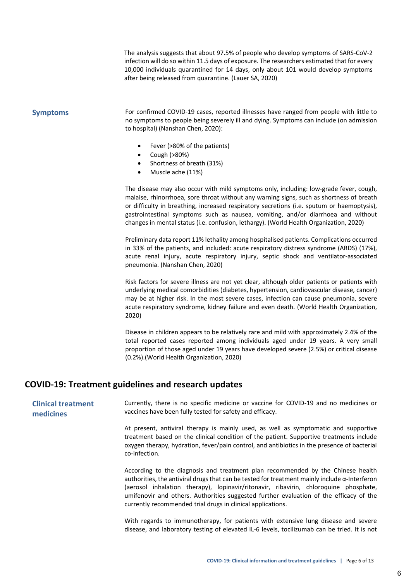The analysis suggests that about 97.5% of people who develop symptoms of SARS-CoV-2 infection will do so within 11.5 days of exposure. The researchers estimated that for every 10,000 individuals quarantined for 14 days, only about 101 would develop symptoms after being released from quarantine. (Lauer SA, 2020)

<span id="page-6-0"></span>**Symptoms** For confirmed COVID-19 cases, reported illnesses have ranged from people with little to no symptoms to people being severely ill and dying. Symptoms can include (on admission to hospital) (Nanshan Chen, 2020):

- Fever (>80% of the patients)
- Cough (>80%)
- Shortness of breath (31%)
- Muscle ache (11%)

The disease may also occur with mild symptoms only, including: low-grade fever, cough, malaise, rhinorrhoea, sore throat without any warning signs, such as shortness of breath or difficulty in breathing, increased respiratory secretions (i.e. sputum or haemoptysis), gastrointestinal symptoms such as nausea, vomiting, and/or diarrhoea and without changes in mental status (i.e. confusion, lethargy). (World Health Organization, 2020)

Preliminary data report 11% lethality among hospitalised patients. Complications occurred in 33% of the patients, and included: acute respiratory distress syndrome (ARDS) (17%), acute renal injury, acute respiratory injury, septic shock and ventilator-associated pneumonia. (Nanshan Chen, 2020)

Risk factors for severe illness are not yet clear, although older patients or patients with underlying medical comorbidities (diabetes, hypertension, cardiovascular disease, cancer) may be at higher risk. In the most severe cases, infection can cause pneumonia, severe acute respiratory syndrome, kidney failure and even death. (World Health Organization, 2020)

Disease in children appears to be relatively rare and mild with approximately 2.4% of the total reported cases reported among individuals aged under 19 years. A very small proportion of those aged under 19 years have developed severe (2.5%) or critical disease (0.2%).(World Health Organization, 2020)

#### <span id="page-6-1"></span>**COVID-19: Treatment guidelines and research updates**

<span id="page-6-2"></span>**Clinical treatment medicines** Currently, there is no specific medicine or vaccine for COVID-19 and no medicines or vaccines have been fully tested for safety and efficacy.

> At present, antiviral therapy is mainly used, as well as symptomatic and supportive treatment based on the clinical condition of the patient. Supportive treatments include oxygen therapy, hydration, fever/pain control, and antibiotics in the presence of bacterial co-infection.

> According to the diagnosis and treatment plan recommended by the Chinese health authorities, the antiviral drugs that can be tested for treatment mainly include α-Interferon (aerosol inhalation therapy), lopinavir/ritonavir, ribavirin, chloroquine phosphate, umifenovir and others. Authorities suggested further evaluation of the efficacy of the currently recommended trial drugs in clinical applications.

> With regards to immunotherapy, for patients with extensive lung disease and severe disease, and laboratory testing of elevated IL-6 levels, tocilizumab can be tried. It is not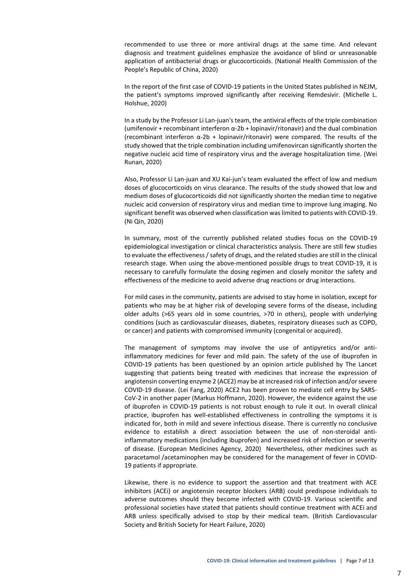recommended to use three or more antiviral drugs at the same time. And relevant diagnosis and treatment guidelines emphasize the avoidance of blind or unreasonable application of antibacterial drugs or glucocorticoids. (National Health Commission of the People's Republic of China, 2020)

In the report of the first case of COVID-19 patients in the United States published in NEJM, the patient's symptoms improved significantly after receiving Remdesivir. (Michelle L. Holshue, 2020)

In a study by the Professor Li Lan-juan's team, the antiviral effects of the triple combination (umifenovir + recombinant interferon α-2b + lopinavir/ritonavir) and the dual combination (recombinant interferon  $\alpha$ -2b + lopinavir/ritonavir) were compared. The results of the study showed that the triple combination including umifenovircan significantly shorten the negative nucleic acid time of respiratory virus and the average hospitalization time. (Wei Runan, 2020)

Also, Professor Li Lan-juan and XU Kai-jun's team evaluated the effect of low and medium doses of glucocorticoids on virus clearance. The results of the study showed that low and medium doses of glucocorticoids did not significantly shorten the median time to negative nucleic acid conversion of respiratory virus and median time to improve lung imaging. No significant benefit was observed when classification was limited to patients with COVID-19. (Ni Qin, 2020)

In summary, most of the currently published related studies focus on the COVID-19 epidemiological investigation or clinical characteristics analysis. There are still few studies to evaluate the effectiveness / safety of drugs, and the related studies are still in the clinical research stage. When using the above-mentioned possible drugs to treat COVID-19, it is necessary to carefully formulate the dosing regimen and closely monitor the safety and effectiveness of the medicine to avoid adverse drug reactions or drug interactions.

For mild cases in the community, patients are advised to stay home in isolation, except for patients who may be at higher risk of developing severe forms of the disease, including older adults (>65 years old in some countries, >70 in others), people with underlying conditions (such as cardiovascular diseases, diabetes, respiratory diseases such as COPD, or cancer) and patients with compromised immunity (congenital or acquired).

The management of symptoms may involve the use of antipyretics and/or antiinflammatory medicines for fever and mild pain. The safety of the use of ibuprofen in COVID-19 patients has been questioned by an opinion article published by The Lancet suggesting that patients being treated with medicines that increase the expression of angiotensin converting enzyme 2 (ACE2) may be at increased risk of infection and/or severe COVID-19 disease. (Lei Fang, 2020) ACE2 has been proven to mediate cell entry by SARS-CoV-2 in another paper (Markus Hoffmann, 2020). However, the evidence against the use of ibuprofen in COVID-19 patients is not robust enough to rule it out. In overall clinical practice, ibuprofen has well-established effectiveness in controlling the symptoms it is indicated for, both in mild and severe infectious disease. There is currently no conclusive evidence to establish a direct association between the use of non-steroidal antiinflammatory medications (including ibuprofen) and increased risk of infection or severity of disease. (European Medicines Agency, 2020) Nevertheless, other medicines such as paracetamol /acetaminophen may be considered for the management of fever in COVID-19 patients if appropriate.

Likewise, there is no evidence to support the assertion and that treatment with ACE inhibitors (ACEi) or angiotensin receptor blockers (ARB) could predispose individuals to adverse outcomes should they become infected with COVID-19. Various scientific and professional societies have stated that patients should continue treatment with ACEi and ARB unless specifically advised to stop by their medical team. (British Cardiovascular Society and British Society for Heart Failure, 2020)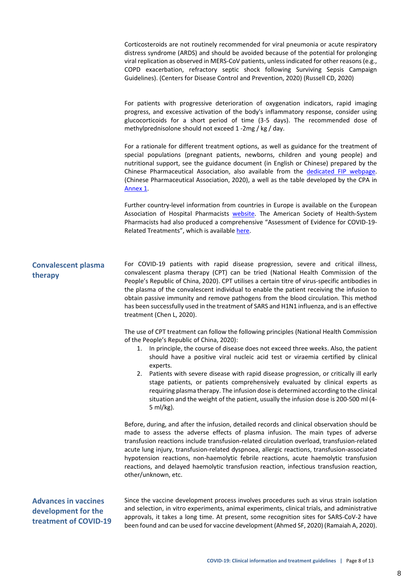Corticosteroids are not routinely recommended for viral pneumonia or acute respiratory distress syndrome (ARDS) and should be avoided because of the potential for prolonging viral replication as observed in MERS-CoV patients, unless indicated for other reasons(e.g., COPD exacerbation, refractory septic shock following Surviving Sepsis Campaign Guidelines). (Centers for Disease Control and Prevention, 2020) (Russell CD, 2020)

For patients with progressive deterioration of oxygenation indicators, rapid imaging progress, and excessive activation of the body's inflammatory response, consider using glucocorticoids for a short period of time (3-5 days). The recommended dose of methylprednisolone should not exceed 1 -2mg / kg / day.

For a rationale for different treatment options, as well as guidance for the treatment of special populations (pregnant patients, newborns, children and young people) and nutritional support, see the guidance document (in English or Chinese) prepared by the Chinese Pharmaceutical Association, also available from the [dedicated](http://www.fip.org/coronavirus) FIP webpage. (Chinese Pharmaceutical Association, 2020), a well as the table developed by the CPA in [Annex](#page-12-0) 1.

Further country-level information from countries in Europe is available on the European Association of Hospital Pharmacists [website.](https://www.eahp.eu/hp-practice/hospital-pharmacy/eahp-covid-19-resource-centre) The American Society of Health-System Pharmacists had also produced a comprehensive "Assessment of Evidence for COVID-19- Related Treatments", which is availabl[e here.](https://www.ashp.org/-/media/assets/pharmacy-practice/resource-centers/Coronavirus/docs/ASHP-COVID-19-Evidence-Table.ashx?la=en&hash=B414CC64FD64E1AE8CA47AD753BA744EDF4FFB8C&hash=B414CC64FD64E1AE8CA47AD753BA744EDF4FFB8C)

#### <span id="page-8-0"></span>**Convalescent plasma therapy**

For COVID-19 patients with rapid disease progression, severe and critical illness, convalescent plasma therapy (CPT) can be tried (National Health Commission of the People's Republic of China, 2020). CPT utilises a certain titre of virus-specific antibodies in the plasma of the convalescent individual to enable the patient receiving the infusion to obtain passive immunity and remove pathogens from the blood circulation. This method has been successfully used in the treatment of SARS and H1N1 influenza, and is an effective treatment (Chen L, 2020).

The use of CPT treatment can follow the following principles (National Health Commission of the People's Republic of China, 2020):

- 1. In principle, the course of disease does not exceed three weeks. Also, the patient should have a positive viral nucleic acid test or viraemia certified by clinical experts.
- 2. Patients with severe disease with rapid disease progression, or critically ill early stage patients, or patients comprehensively evaluated by clinical experts as requiring plasma therapy. The infusion dose is determined according to the clinical situation and the weight of the patient, usually the infusion dose is 200-500 ml (4- 5 ml/kg).

Before, during, and after the infusion, detailed records and clinical observation should be made to assess the adverse effects of plasma infusion. The main types of adverse transfusion reactions include transfusion-related circulation overload, transfusion-related acute lung injury, transfusion-related dyspnoea, allergic reactions, transfusion-associated hypotension reactions, non-haemolytic febrile reactions, acute haemolytic transfusion reactions, and delayed haemolytic transfusion reaction, infectious transfusion reaction, other/unknown, etc.

<span id="page-8-1"></span>**Advances in vaccines development for the treatment of COVID-19** Since the vaccine development process involves procedures such as virus strain isolation and selection, in vitro experiments, animal experiments, clinical trials, and administrative approvals, it takes a long time. At present, some recognition sites for SARS-CoV-2 have been found and can be used for vaccine development (Ahmed SF, 2020) (Ramaiah A, 2020).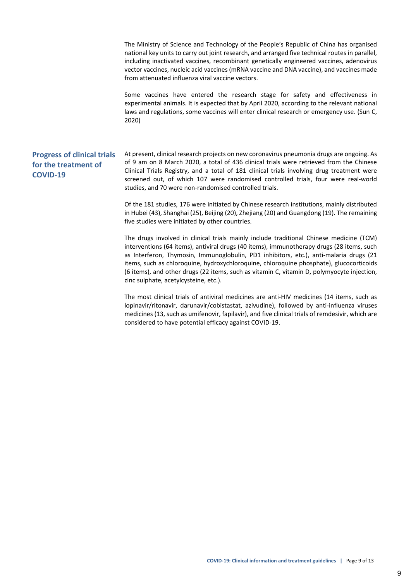<span id="page-9-0"></span>The Ministry of Science and Technology of the People's Republic of China has organised national key units to carry out joint research, and arranged five technical routes in parallel, including inactivated vaccines, recombinant genetically engineered vaccines, adenovirus vector vaccines, nucleic acid vaccines (mRNA vaccine and DNA vaccine), and vaccines made from attenuated influenza viral vaccine vectors. Some vaccines have entered the research stage for safety and effectiveness in experimental animals. It is expected that by April 2020, according to the relevant national laws and regulations, some vaccines will enter clinical research or emergency use. (Sun C, 2020) **Progress of clinical trials for the treatment of COVID-19** At present, clinical research projects on new coronavirus pneumonia drugs are ongoing. As of 9 am on 8 March 2020, a total of 436 clinical trials were retrieved from the Chinese Clinical Trials Registry, and a total of 181 clinical trials involving drug treatment were screened out, of which 107 were randomised controlled trials, four were real-world studies, and 70 were non-randomised controlled trials. Of the 181 studies, 176 were initiated by Chinese research institutions, mainly distributed in Hubei (43), Shanghai (25), Beijing (20), Zhejiang (20) and Guangdong (19). The remaining five studies were initiated by other countries.

> The drugs involved in clinical trials mainly include traditional Chinese medicine (TCM) interventions (64 items), antiviral drugs (40 items), immunotherapy drugs (28 items, such as Interferon, Thymosin, Immunoglobulin, PD1 inhibitors, etc.), anti-malaria drugs (21 items, such as chloroquine, hydroxychloroquine, chloroquine phosphate), glucocorticoids (6 items), and other drugs (22 items, such as vitamin C, vitamin D, polymyocyte injection, zinc sulphate, acetylcysteine, etc.).

> The most clinical trials of antiviral medicines are anti-HIV medicines (14 items, such as lopinavir/ritonavir, darunavir/cobistastat, azivudine), followed by anti-influenza viruses medicines (13, such as umifenovir, fapilavir), and five clinical trials of remdesivir, which are considered to have potential efficacy against COVID-19.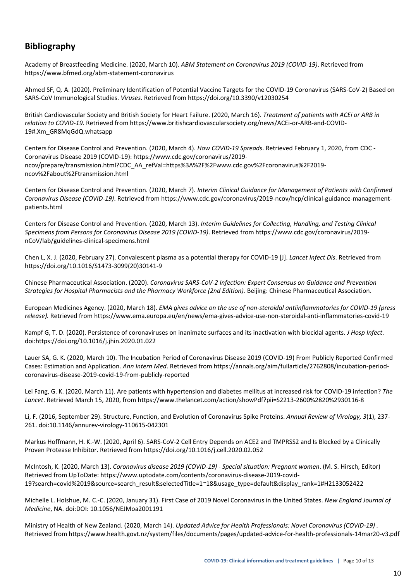### <span id="page-10-0"></span>**Bibliography**

Academy of Breastfeeding Medicine. (2020, March 10). *ABM Statement on Coronavirus 2019 (COVID-19)*. Retrieved from https://www.bfmed.org/abm-statement-coronavirus

Ahmed SF, Q. A. (2020). Preliminary Identification of Potential Vaccine Targets for the COVID-19 Coronavirus (SARS-CoV-2) Based on SARS-CoV Immunological Studies. *Viruses*. Retrieved from https://doi.org/10.3390/v12030254

British Cardiovascular Society and British Society for Heart Failure. (2020, March 16). *Treatment of patients with ACEi or ARB in relation to COVID-19.* Retrieved from https://www.britishcardiovascularsociety.org/news/ACEi-or-ARB-and-COVID-19#.Xm\_GR8MqGdQ.whatsapp

Centers for Disease Control and Prevention. (2020, March 4). *How COVID-19 Spreads*. Retrieved February 1, 2020, from CDC - Coronavirus Disease 2019 (COVID-19): https://www.cdc.gov/coronavirus/2019 ncov/prepare/transmission.html?CDC\_AA\_refVal=https%3A%2F%2Fwww.cdc.gov%2Fcoronavirus%2F2019 ncov%2Fabout%2Ftransmission.html

Centers for Disease Control and Prevention. (2020, March 7). *Interim Clinical Guidance for Management of Patients with Confirmed Coronavirus Disease (COVID-19)*. Retrieved from https://www.cdc.gov/coronavirus/2019-ncov/hcp/clinical-guidance-managementpatients.html

Centers for Disease Control and Prevention. (2020, March 13). *Interim Guidelines for Collecting, Handling, and Testing Clinical Specimens from Persons for Coronavirus Disease 2019 (COVID-19)*. Retrieved from https://www.cdc.gov/coronavirus/2019 nCoV/lab/guidelines-clinical-specimens.html

Chen L, X. J. (2020, February 27). Convalescent plasma as a potential therapy for COVID-19 [J]. *Lancet Infect Dis*. Retrieved from https://doi.org/10.1016/S1473-3099(20)30141-9

Chinese Pharmaceutical Association. (2020). *Coronavirus SARS-CoV-2 Infection: Expert Consensus on Guidance and Prevention Strategies for Hospital Pharmacists and the Pharmacy Workforce (2nd Edition).* Beijing: Chinese Pharmaceutical Association.

European Medicines Agency. (2020, March 18). *EMA gives advice on the use of non-steroidal antiinflammatories for COVID-19 (press release).* Retrieved from https://www.ema.europa.eu/en/news/ema-gives-advice-use-non-steroidal-anti-inflammatories-covid-19

Kampf G, T. D. (2020). Persistence of coronaviruses on inanimate surfaces and its inactivation with biocidal agents. *J Hosp Infect*. doi:https://doi.org/10.1016/j.jhin.2020.01.022

Lauer SA, G. K. (2020, March 10). The Incubation Period of Coronavirus Disease 2019 (COVID-19) From Publicly Reported Confirmed Cases: Estimation and Application. *Ann Intern Med*. Retrieved from https://annals.org/aim/fullarticle/2762808/incubation-periodcoronavirus-disease-2019-covid-19-from-publicly-reported

Lei Fang, G. K. (2020, March 11). Are patients with hypertension and diabetes mellitus at increased risk for COVID-19 infection? *The Lancet*. Retrieved March 15, 2020, from https://www.thelancet.com/action/showPdf?pii=S2213-2600%2820%2930116-8

Li, F. (2016, September 29). Structure, Function, and Evolution of Coronavirus Spike Proteins. *Annual Review of Virology, 3*(1), 237- 261. doi:10.1146/annurev-virology-110615-042301

Markus Hoffmann, H. K.-W. (2020, April 6). SARS-CoV-2 Cell Entry Depends on ACE2 and TMPRSS2 and Is Blocked by a Clinically Proven Protease Inhibitor. Retrieved from https://doi.org/10.1016/j.cell.2020.02.052

McIntosh, K. (2020, March 13). *Coronavirus disease 2019 (COVID-19) - Special situation: Pregnant women*. (M. S. Hirsch, Editor) Retrieved from UpToDate: https://www.uptodate.com/contents/coronavirus-disease-2019-covid-19?search=covid%2019&source=search\_result&selectedTitle=1~18&usage\_type=default&display\_rank=1#H2133052422

Michelle L. Holshue, M. C.-C. (2020, January 31). First Case of 2019 Novel Coronavirus in the United States. *New England Journal of Medicine*, NA. doi:DOI: 10.1056/NEJMoa2001191

Ministry of Health of New Zealand. (2020, March 14). *Updated Advice for Health Professionals: Novel Coronavirus (COVID-19) .* Retrieved from https://www.health.govt.nz/system/files/documents/pages/updated-advice-for-health-professionals-14mar20-v3.pdf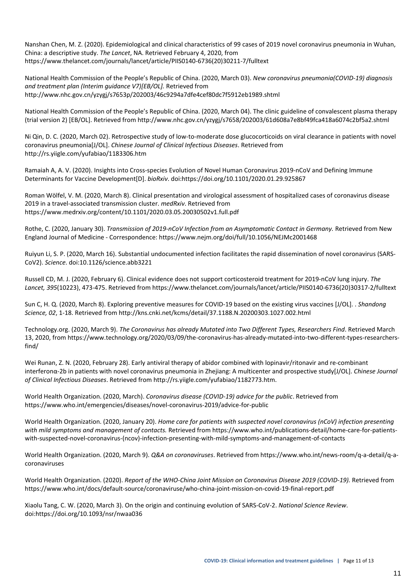Nanshan Chen, M. Z. (2020). Epidemiological and clinical characteristics of 99 cases of 2019 novel coronavirus pneumonia in Wuhan, China: a descriptive study. *The Lancet*, NA. Retrieved February 4, 2020, from https://www.thelancet.com/journals/lancet/article/PIIS0140-6736(20)30211-7/fulltext

National Health Commission of the People's Republic of China. (2020, March 03). *New coronavirus pneumonia(COVID-19) diagnosis and treatment plan (Interim guidance V7)[EB/OL].* Retrieved from http://www.nhc.gov.cn/yzygj/s7653p/202003/46c9294a7dfe4cef80dc7f5912eb1989.shtml

National Health Commission of the People's Republic of China. (2020, March 04). The clinic guideline of convalescent plasma therapy (trial version 2) [EB/OL]. Retrieved from http://www.nhc.gov.cn/yzygj/s7658/202003/61d608a7e8bf49fca418a6074c2bf5a2.shtml

Ni Qin, D. C. (2020, March 02). Retrospective study of low-to-moderate dose glucocorticoids on viral clearance in patients with novel coronavirus pneumonia[J/OL]. *Chinese Journal of Clinical Infectious Diseases*. Retrieved from http://rs.yiigle.com/yufabiao/1183306.htm

Ramaiah A, A. V. (2020). Insights into Cross-species Evolution of Novel Human Coronavirus 2019-nCoV and Defining Immune Determinants for Vaccine Development[D]. *bioRxiv*. doi:https://doi.org/10.1101/2020.01.29.925867

Roman Wölfel, V. M. (2020, March 8). Clinical presentation and virological assessment of hospitalized cases of coronavirus disease 2019 in a travel-associated transmission cluster. *medRxiv*. Retrieved from https://www.medrxiv.org/content/10.1101/2020.03.05.20030502v1.full.pdf

Rothe, C. (2020, January 30). *Transmission of 2019-nCoV Infection from an Asymptomatic Contact in Germany.* Retrieved from New England Journal of Medicine - Correspondence: https://www.nejm.org/doi/full/10.1056/NEJMc2001468

Ruiyun Li, S. P. (2020, March 16). Substantial undocumented infection facilitates the rapid dissemination of novel coronavirus (SARS-CoV2). *Science*. doi:10.1126/science.abb3221

Russell CD, M. J. (2020, February 6). Clinical evidence does not support corticosteroid treatment for 2019-nCoV lung injury. *The Lancet, 395*(10223), 473-475. Retrieved from https://www.thelancet.com/journals/lancet/article/PIIS0140-6736(20)30317-2/fulltext

Sun C, H. Q. (2020, March 8). Exploring preventive measures for COVID-19 based on the existing virus vaccines [J/OL]. . *Shandong Science, 02*, 1-18. Retrieved from http://kns.cnki.net/kcms/detail/37.1188.N.20200303.1027.002.html

Technology.org. (2020, March 9). *The Coronavirus has already Mutated into Two Different Types, Researchers Find*. Retrieved March 13, 2020, from https://www.technology.org/2020/03/09/the-coronavirus-has-already-mutated-into-two-different-types-researchersfind/

Wei Runan, Z. N. (2020, February 28). Early antiviral therapy of abidor combined with lopinavir/ritonavir and re-combinant interferonα-2b in patients with novel coronavirus pneumonia in Zhejiang: A multicenter and prospective study[J/OL]. *Chinese Journal of Clinical Infectious Diseases*. Retrieved from http://rs.yiigle.com/yufabiao/1182773.htm.

World Health Organization. (2020, March). *Coronavirus disease (COVID-19) advice for the public*. Retrieved from https://www.who.int/emergencies/diseases/novel-coronavirus-2019/advice-for-public

World Health Organization. (2020, January 20). *Home care for patients with suspected novel coronavirus (nCoV) infection presenting with mild symptoms and management of contacts.* Retrieved from https://www.who.int/publications-detail/home-care-for-patientswith-suspected-novel-coronavirus-(ncov)-infection-presenting-with-mild-symptoms-and-management-of-contacts

World Health Organization. (2020, March 9). *Q&A on coronaviruses*. Retrieved from https://www.who.int/news-room/q-a-detail/q-acoronaviruses

World Health Organization. (2020). *Report of the WHO-China Joint Mission on Coronavirus Disease 2019 (COVID-19).* Retrieved from https://www.who.int/docs/default-source/coronaviruse/who-china-joint-mission-on-covid-19-final-report.pdf

Xiaolu Tang, C. W. (2020, March 3). On the origin and continuing evolution of SARS-CoV-2. *National Science Review*. doi:https://doi.org/10.1093/nsr/nwaa036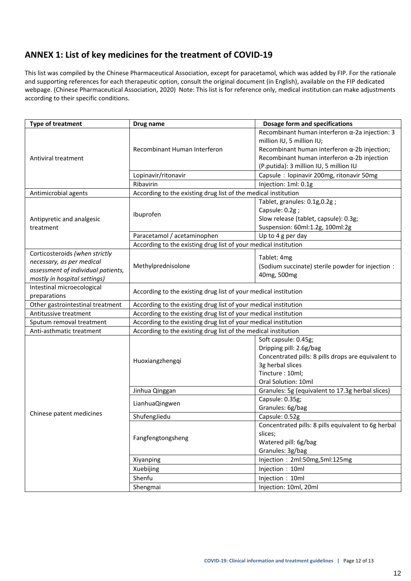### <span id="page-12-0"></span>**ANNEX 1: List of key medicines for the treatment of COVID-19**

This list was compiled by the Chinese Pharmaceutical Association, except for paracetamol, which was added by FIP. For the rationale and supporting references for each therapeutic option, consult the original document (in English), available on the FIP dedicated webpage. (Chinese Pharmaceutical Association, 2020) Note: This list is for reference only, medical institution can make adjustments according to their specific conditions.

| <b>Type of treatment</b>           | Drug name                                                       | <b>Dosage form and specifications</b>                          |  |  |  |
|------------------------------------|-----------------------------------------------------------------|----------------------------------------------------------------|--|--|--|
|                                    |                                                                 | Recombinant human interferon $\alpha$ -2a injection: 3         |  |  |  |
|                                    |                                                                 | million IU, 5 million IU;                                      |  |  |  |
|                                    | Recombinant Human Interferon                                    | Recombinant human interferon $\alpha$ -2b injection;           |  |  |  |
| Antiviral treatment                |                                                                 | Recombinant human interferon $\alpha$ -2b injection            |  |  |  |
|                                    |                                                                 | (P.putida): 3 million IU, 5 million IU                         |  |  |  |
|                                    | Lopinavir/ritonavir                                             | Capsule: lopinavir 200mg, ritonavir 50mg                       |  |  |  |
|                                    | Ribavirin                                                       | Injection: 1ml: 0.1g                                           |  |  |  |
| Antimicrobial agents               | According to the existing drug list of the medical institution  |                                                                |  |  |  |
|                                    |                                                                 | Tablet, granules: 0.1g, 0.2g;                                  |  |  |  |
|                                    | Ibuprofen                                                       | Capsule: 0.2g;                                                 |  |  |  |
| Antipyretic and analgesic          |                                                                 | Slow release (tablet, capsule): 0.3g;                          |  |  |  |
| treatment                          |                                                                 | Suspension: 60ml:1.2g, 100ml:2g                                |  |  |  |
|                                    | Paracetamol / acetaminophen                                     | Up to 4 g per day                                              |  |  |  |
|                                    | According to the existing drug list of your medical institution |                                                                |  |  |  |
| Corticosteroids (when strictly     |                                                                 | Tablet: 4mg                                                    |  |  |  |
| necessary, as per medical          |                                                                 |                                                                |  |  |  |
| assessment of individual patients, | Methylprednisolone                                              | (Sodium succinate) sterile powder for injection :              |  |  |  |
| mostly in hospital settings)       |                                                                 | 40mg, 500mg                                                    |  |  |  |
| Intestinal microecological         |                                                                 |                                                                |  |  |  |
| preparations                       | According to the existing drug list of your medical institution |                                                                |  |  |  |
| Other gastrointestinal treatment   | According to the existing drug list of your medical institution |                                                                |  |  |  |
| Antitussive treatment              | According to the existing drug list of your medical institution |                                                                |  |  |  |
| Sputum removal treatment           | According to the existing drug list of your medical institution |                                                                |  |  |  |
| Anti-asthmatic treatment           |                                                                 | According to the existing drug list of the medical institution |  |  |  |
|                                    |                                                                 | Soft capsule: 0.45g;                                           |  |  |  |
|                                    |                                                                 | Dripping pill: 2.6g/bag                                        |  |  |  |
|                                    | Huoxiangzhengqi                                                 | Concentrated pills: 8 pills drops are equivalent to            |  |  |  |
|                                    |                                                                 | 3g herbal slices                                               |  |  |  |
|                                    |                                                                 | Tincture: 10ml;                                                |  |  |  |
|                                    |                                                                 | Oral Solution: 10ml                                            |  |  |  |
|                                    | Jinhua Qinggan                                                  | Granules: 5g (equivalent to 17.3g herbal slices)               |  |  |  |
|                                    | LianhuaQingwen                                                  | Capsule: 0.35g;                                                |  |  |  |
|                                    |                                                                 | Granules: 6g/bag                                               |  |  |  |
| Chinese patent medicines           | ShufengJiedu                                                    | Capsule: 0.52g                                                 |  |  |  |
|                                    |                                                                 | Concentrated pills: 8 pills equivalent to 6g herbal            |  |  |  |
|                                    | Fangfengtongsheng                                               | slices;                                                        |  |  |  |
|                                    |                                                                 | Watered pill: 6g/bag                                           |  |  |  |
|                                    |                                                                 | Granules: 3g/bag                                               |  |  |  |
|                                    | Xiyanping                                                       | Injection: 2ml:50mg,5ml:125mg                                  |  |  |  |
|                                    | Xuebijing                                                       | Injection: 10ml                                                |  |  |  |
|                                    | Shenfu                                                          | Injection: 10ml                                                |  |  |  |
|                                    | Shengmai                                                        | Injection: 10ml, 20ml                                          |  |  |  |